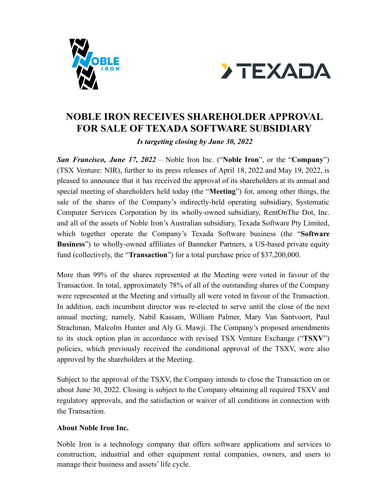



## **NOBLE IRON RECEIVES SHAREHOLDER APPROVAL FOR SALE OF TEXADA SOFTWARE SUBSIDIARY**

*Is targeting closing by June 30, 2022*

*San Francisco, June 17, 2022* – Noble Iron Inc. ("**Noble Iron**", or the "**Company**") (TSX Venture: NIR), further to its press releases of April 18, 2022 and May 19, 2022, is pleased to announce that it has received the approval of its shareholders at its annual and special meeting of shareholders held today (the "**Meeting**") for, among other things, the sale of the shares of the Company's indirectly-held operating subsidiary, Systematic Computer Services Corporation by its wholly-owned subsidiary, RentOnThe Dot, Inc. and all of the assets of Noble Iron's Australian subsidiary, Texada Software Pty Limited, which together operate the Company's Texada Software business (the "**Software Business**") to wholly-owned affiliates of Banneker Partners, a US-based private equity fund (collectively, the "**Transaction**") for a total purchase price of \$37,200,000.

More than 99% of the shares represented at the Meeting were voted in favour of the Transaction. In total, approximately 78% of all of the outstanding shares of the Company were represented at the Meeting and virtually all were voted in favour of the Transaction. In addition, each incumbent director was re-elected to serve until the close of the next annual meeting; namely, Nabil Kassam, William Palmer, Mary Van Santvoort, Paul Strachman, Malcolm Hunter and Aly G. Mawji. The Company's proposed amendments to its stock option plan in accordance with revised TSX Venture Exchange ("**TSXV**") policies, which previously received the conditional approval of the TSXV, were also approved by the shareholders at the Meeting.

Subject to the approval of the TSXV, the Company intends to close the Transaction on or about June 30, 2022. Closing is subject to the Company obtaining all required TSXV and regulatory approvals, and the satisfaction or waiver of all conditions in connection with the Transaction.

## **About Noble Iron Inc.**

Noble Iron is a technology company that offers software applications and services to construction, industrial and other equipment rental companies, owners, and users to manage their business and assets' life cycle.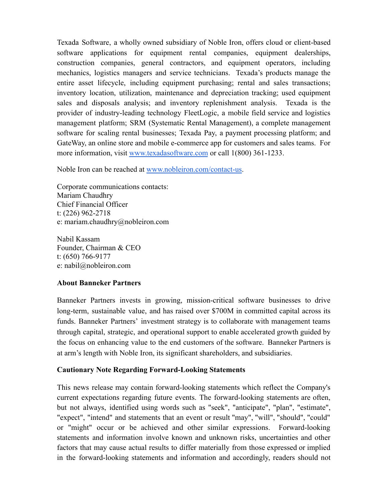Texada Software, a wholly owned subsidiary of Noble Iron, offers cloud or client-based software applications for equipment rental companies, equipment dealerships, construction companies, general contractors, and equipment operators, including mechanics, logistics managers and service technicians. Texada's products manage the entire asset lifecycle, including equipment purchasing; rental and sales transactions; inventory location, utilization, maintenance and depreciation tracking; used equipment sales and disposals analysis; and inventory replenishment analysis. Texada is the provider of industry-leading technology FleetLogic, a mobile field service and logistics management platform; SRM (Systematic Rental Management), a complete management software for scaling rental businesses; Texada Pay, a payment processing platform; and GateWay, an online store and mobile e-commerce app for customers and sales teams. For more information, visit [www.texadasoftware.com](http://www.texadasoftware.com) or call 1(800) 361-1233.

Noble Iron can be reached at [www.nobleiron.com/contact-us.](https://nobleiron.com/contact-us)

Corporate communications contacts: Mariam Chaudhry Chief Financial Officer t: (226) 962-2718 e: [mariam.chaudhry@nobleiron.com](mailto:mariam.chaudhry@nobleiron.com)

Nabil Kassam Founder, Chairman & CEO t: (650) 766-9177 e: [nabil@nobleiron.com](mailto:nabil@nobleiron.com)

## **About Banneker Partners**

Banneker Partners invests in growing, mission-critical software businesses to drive long-term, sustainable value, and has raised over \$700M in committed capital across its funds. Banneker Partners' investment strategy is to collaborate with management teams through capital, strategic, and operational support to enable accelerated growth guided by the focus on enhancing value to the end customers of the software. Banneker Partners is at arm's length with Noble Iron, its significant shareholders, and subsidiaries.

## **Cautionary Note Regarding Forward-Looking Statements**

This news release may contain forward-looking statements which reflect the Company's current expectations regarding future events. The forward-looking statements are often, but not always, identified using words such as "seek", "anticipate", "plan", "estimate", "expect", "intend" and statements that an event or result "may", "will", "should", "could" or "might" occur or be achieved and other similar expressions. Forward-looking statements and information involve known and unknown risks, uncertainties and other factors that may cause actual results to differ materially from those expressed or implied in the forward-looking statements and information and accordingly, readers should not